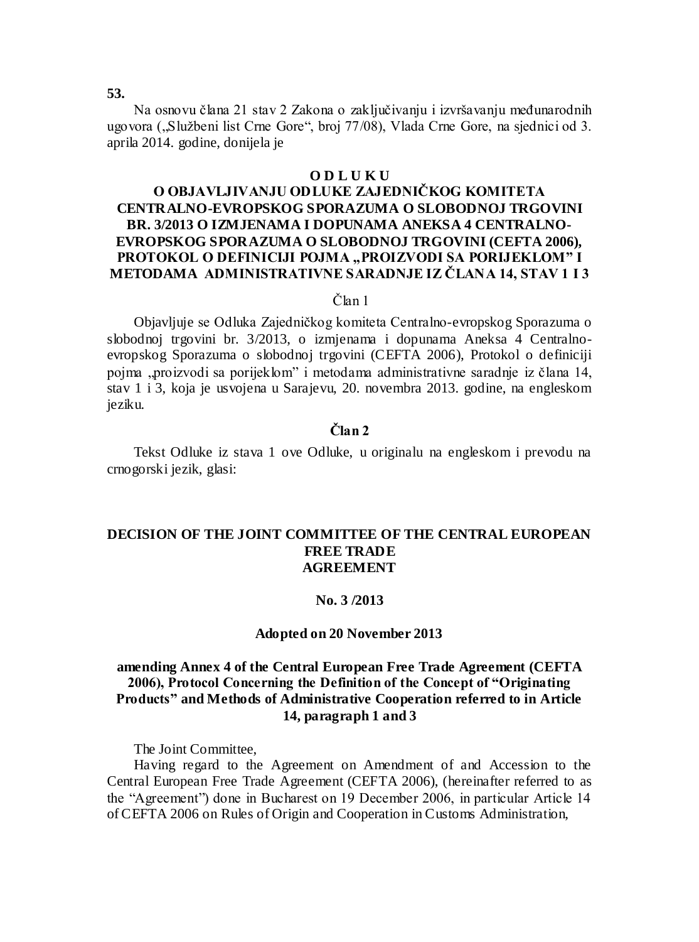# **53.**

Na osnovu člana 21 stav 2 Zakona o zaključivanju i izvršavanju međunarodnih ugovora ("Službeni list Crne Gore", broj 77/08), Vlada Crne Gore, na sjednici od 3. aprila 2014. godine, donijela je

## **O D L U K U**

# **O OBJAVLJIVANJU ODLUKE ZAJEDNIČKOG KOMITETA CENTRALNO-EVROPSKOG SPORAZUMA O SLOBODNOJ TRGOVINI BR. 3/2013 O IZMJENAMA I DOPUNAMA ANEKSA 4 CENTRALNO-EVROPSKOG SPORAZUMA O SLOBODNOJ TRGOVINI (CEFTA 2006),**  PROTOKOL O DEFINICIJI POJMA "PROIZVODI SA PORIJEKLOM" I **METODAMA ADMINISTRATIVNE SARADNJE IZ ČLANA 14, STAV 1 I 3**

## Član 1

Objavljuje se Odluka Zajedničkog komiteta Centralno-evropskog Sporazuma o slobodnoj trgovini br. 3/2013, o izmjenama i dopunama Aneksa 4 Centralnoevropskog Sporazuma o slobodnoj trgovini (CEFTA 2006), Protokol o definiciji pojma "proizvodi sa porijeklom" i metodama administrativne saradnje iz člana 14, stav 1 i 3, koja je usvojena u Sarajevu, 20. novembra 2013. godine, na engleskom jeziku.

# **Član 2**

Tekst Odluke iz stava 1 ove Odluke, u originalu na engleskom i prevodu na crnogorski jezik, glasi:

## **DECISION OF THE JOINT COMMITTEE OF THE CENTRAL EUROPEAN FREE TRADE AGREEMENT**

## **No. 3 /2013**

### **Adopted on 20 November 2013**

# **amending Annex 4 of the Central European Free Trade Agreement (CEFTA 2006), Protocol Concerning the Definition of the Concept of "Originating Products" and Methods of Administrative Cooperation referred to in Article 14, paragraph 1 and 3**

The Joint Committee,

Having regard to the Agreement on Amendment of and Accession to the Central European Free Trade Agreement (CEFTA 2006), (hereinafter referred to as the "Agreement") done in Bucharest on 19 December 2006, in particular Article 14 of CEFTA 2006 on Rules of Origin and Cooperation in Customs Administration,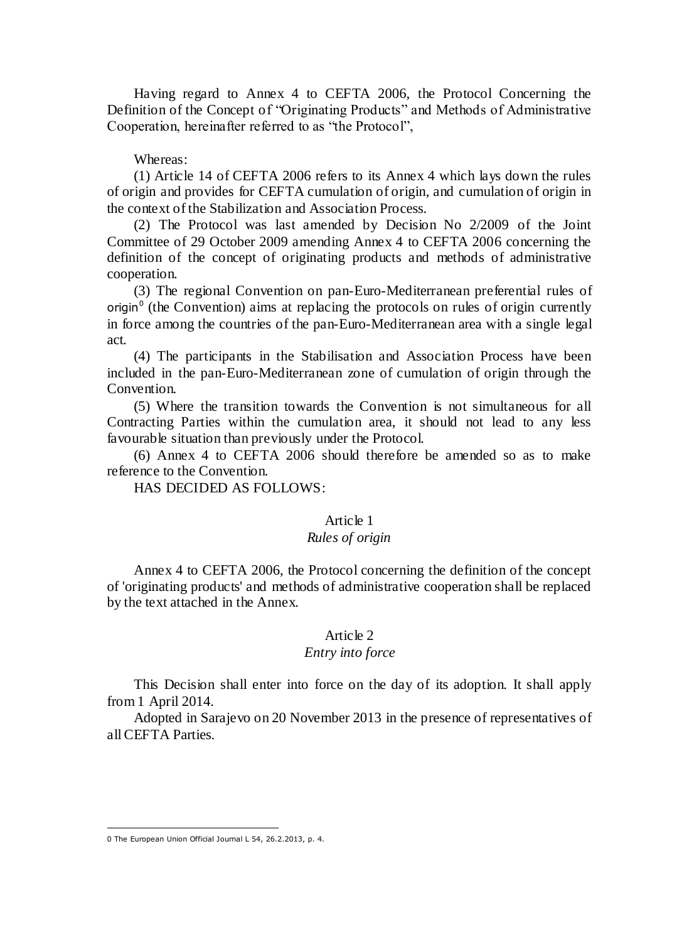Having regard to Annex 4 to CEFTA 2006, the Protocol Concerning the Definition of the Concept of "Originating Products" and Methods of Administrative Cooperation, hereinafter referred to as "the Protocol",

### Whereas:

(1) Article 14 of CEFTA 2006 refers to its Annex 4 which lays down the rules of origin and provides for CEFTA cumulation of origin, and cumulation of origin in the context of the Stabilization and Association Process.

(2) The Protocol was last amended by Decision No 2/2009 of the Joint Committee of 29 October 2009 amending Annex 4 to CEFTA 2006 concerning the definition of the concept of originating products and methods of administrative cooperation.

(3) The regional Convention on pan-Euro-Mediterranean preferential rules of origin $<sup>0</sup>$  (the Convention) aims at replacing the protocols on rules of origin currently</sup> in force among the countries of the pan-Euro-Mediterranean area with a single legal act.

(4) The participants in the Stabilisation and Association Process have been included in the pan-Euro-Mediterranean zone of cumulation of origin through the Convention.

(5) Where the transition towards the Convention is not simultaneous for all Contracting Parties within the cumulation area, it should not lead to any less favourable situation than previously under the Protocol.

(6) Annex 4 to CEFTA 2006 should therefore be amended so as to make reference to the Convention.

HAS DECIDED AS FOLLOWS:

#### Article 1

## *Rules of origin*

Annex 4 to CEFTA 2006, the Protocol concerning the definition of the concept of 'originating products' and methods of administrative cooperation shall be replaced by the text attached in the Annex.

# Article 2

### *Entry into force*

This Decision shall enter into force on the day of its adoption. It shall apply from 1 April 2014.

Adopted in Sarajevo on 20 November 2013 in the presence of representatives of all CEFTA Parties.

 $\overline{a}$ 

<sup>0</sup> The European Union Official Journal L 54, 26.2.2013, p. 4.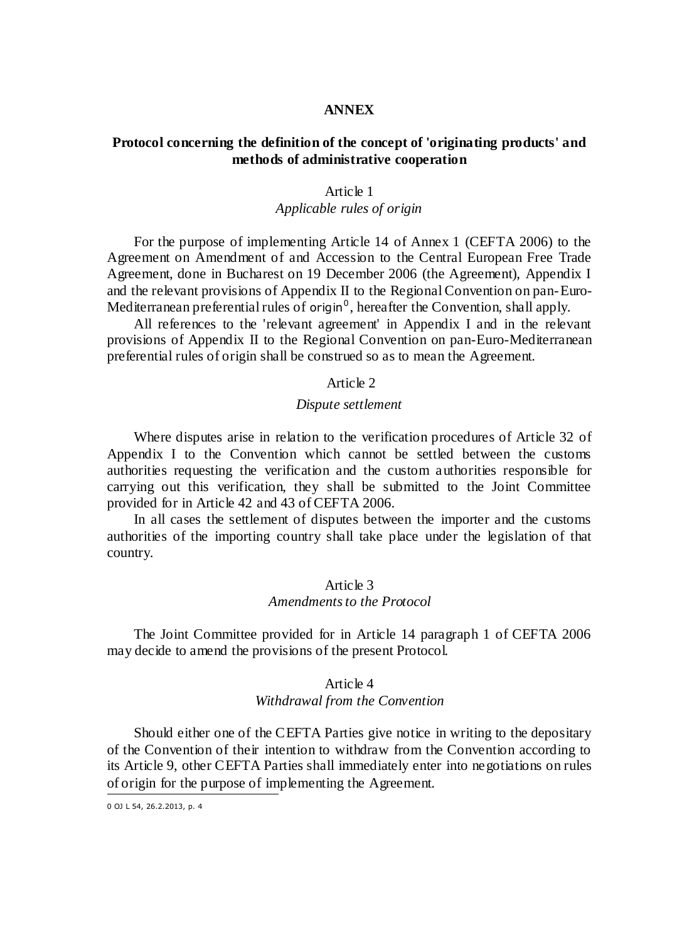### **ANNEX**

# **Protocol concerning the definition of the concept of 'originating products' and methods of administrative cooperation**

#### Article 1

## *Applicable rules of origin*

For the purpose of implementing Article 14 of Annex 1 (CEFTA 2006) to the Agreement on Amendment of and Accession to the Central European Free Trade Agreement, done in Bucharest on 19 December 2006 (the Agreement), Appendix I and the relevant provisions of Appendix II to the Regional Convention on pan-Euro-Mediterranean preferential rules of origin<sup>0</sup>, hereafter the Convention, shall apply.

All references to the 'relevant agreement' in Appendix I and in the relevant provisions of Appendix II to the Regional Convention on pan-Euro-Mediterranean preferential rules of origin shall be construed so as to mean the Agreement.

## Article 2

#### *Dispute settlement*

Where disputes arise in relation to the verification procedures of Article 32 of Appendix I to the Convention which cannot be settled between the customs authorities requesting the verification and the custom authorities responsible for carrying out this verification, they shall be submitted to the Joint Committee provided for in Article 42 and 43 of CEFTA 2006.

In all cases the settlement of disputes between the importer and the customs authorities of the importing country shall take place under the legislation of that country.

## Article 3 *Amendments to the Protocol*

The Joint Committee provided for in Article 14 paragraph 1 of CEFTA 2006 may decide to amend the provisions of the present Protocol.

#### Article 4

## *Withdrawal from the Convention*

Should either one of the CEFTA Parties give notice in writing to the depositary of the Convention of their intention to withdraw from the Convention according to its Article 9, other CEFTA Parties shall immediately enter into negotiations on rules of origin for the purpose of implementing the Agreement.  $\overline{a}$ 

<sup>0</sup> OJ L 54, 26.2.2013, p. 4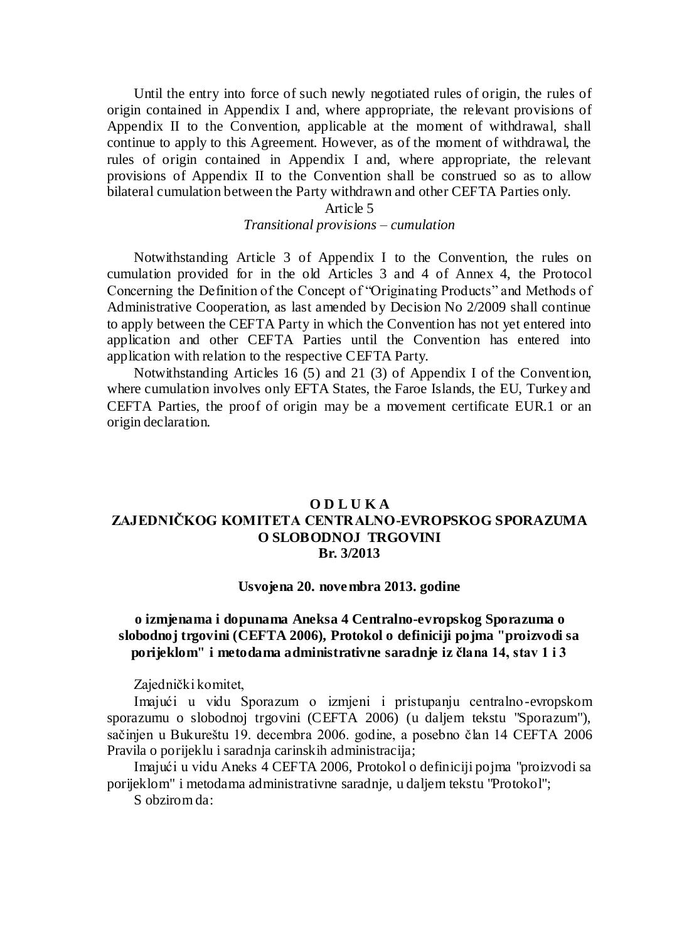Until the entry into force of such newly negotiated rules of origin, the rules of origin contained in Appendix I and, where appropriate, the relevant provisions of Appendix II to the Convention, applicable at the moment of withdrawal, shall continue to apply to this Agreement. However, as of the moment of withdrawal, the rules of origin contained in Appendix I and, where appropriate, the relevant provisions of Appendix II to the Convention shall be construed so as to allow bilateral cumulation between the Party withdrawn and other CEFTA Parties only.

### Article 5

## *Transitional provisions – cumulation*

Notwithstanding Article 3 of Appendix I to the Convention, the rules on cumulation provided for in the old Articles 3 and 4 of Annex 4, the Protocol Concerning the Definition of the Concept of "Originating Products" and Methods of Administrative Cooperation, as last amended by Decision No 2/2009 shall continue to apply between the CEFTA Party in which the Convention has not yet entered into application and other CEFTA Parties until the Convention has entered into application with relation to the respective CEFTA Party.

Notwithstanding Articles 16 (5) and 21 (3) of Appendix I of the Convention, where cumulation involves only EFTA States, the Faroe Islands, the EU, Turkey and CEFTA Parties, the proof of origin may be a movement certificate EUR.1 or an origin declaration.

## **O D L U K A ZAJEDNIČKOG KOMITETA CENTRALNO-EVROPSKOG SPORAZUMA O SLOBODNOJ TRGOVINI Br. 3/2013**

#### **Usvojena 20. novembra 2013. godine**

# **o izmjenama i dopunama Aneksa 4 Centralno-evropskog Sporazuma o slobodnoj trgovini (CEFTA 2006), Protokol o definiciji pojma "proizvodi sa porijeklom" i metodama administrativne saradnje iz člana 14, stav 1 i 3**

Zajednički komitet,

Imajući u vidu Sporazum o izmjeni i pristupanju centralno-evropskom sporazumu o slobodnoj trgovini (CEFTA 2006) (u daljem tekstu "Sporazum"), sačinjen u Bukureštu 19. decembra 2006. godine, a posebno član 14 CEFTA 2006 Pravila o porijeklu i saradnja carinskih administracija;

Imajući u vidu Aneks 4 CEFTA 2006, Protokol o definiciji pojma "proizvodi sa porijeklom" i metodama administrativne saradnje, u daljem tekstu "Protokol";

S obzirom da: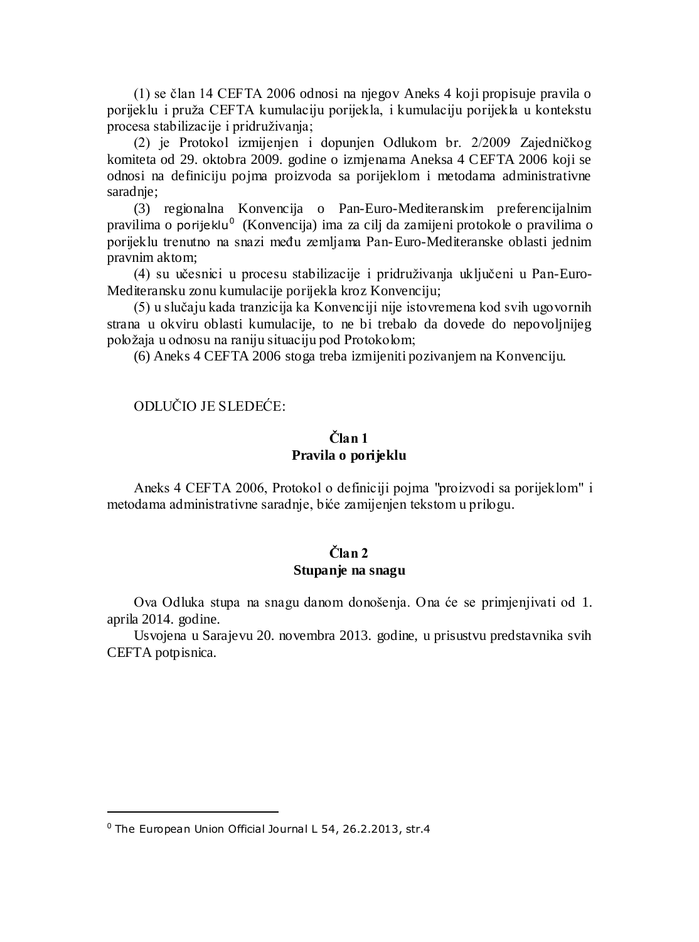(1) se član 14 CEFTA 2006 odnosi na njegov Aneks 4 koji propisuje pravila o porijeklu i pruža CEFTA kumulaciju porijekla, i kumulaciju porijekla u kontekstu procesa stabilizacije i pridruživanja;

(2) je Protokol izmijenjen i dopunjen Odlukom br. 2/2009 Zajedničkog komiteta od 29. oktobra 2009. godine o izmjenama Aneksa 4 CEFTA 2006 koji se odnosi na definiciju pojma proizvoda sa porijeklom i metodama administrativne saradnje;

(3) regionalna Konvencija o Pan-Euro-Mediteranskim preferencijalnim pravilima o porijeklu<sup>0</sup> (Konvencija) ima za cilj da zamijeni protokole o pravilima o porijeklu trenutno na snazi među zemljama Pan-Euro-Mediteranske oblasti jednim pravnim aktom;

(4) su učesnici u procesu stabilizacije i pridruživanja uključeni u Pan-Euro-Mediteransku zonu kumulacije porijekla kroz Konvenciju;

(5) u slučaju kada tranzicija ka Konvenciji nije istovremena kod svih ugovornih strana u okviru oblasti kumulacije, to ne bi trebalo da dovede do nepovoljnijeg položaja u odnosu na raniju situaciju pod Protokolom;

(6) Aneks 4 CEFTA 2006 stoga treba izmijeniti pozivanjem na Konvenciju.

## ODLUČIO JE SLEDEĆE:

# **Član 1 Pravila o porijeklu**

Aneks 4 CEFTA 2006, Protokol o definiciji pojma "proizvodi sa porijeklom" i metodama administrativne saradnje, biće zamijenjen tekstom u prilogu.

# **Član 2 Stupanje na snagu**

Ova Odluka stupa na snagu danom donošenja. Ona će se primjenjivati od 1. aprila 2014. godine.

Usvojena u Sarajevu 20. novembra 2013. godine, u prisustvu predstavnika svih CEFTA potpisnica.

 $\overline{a}$ 

 $0$  The European Union Official Journal L 54, 26.2.2013, str.4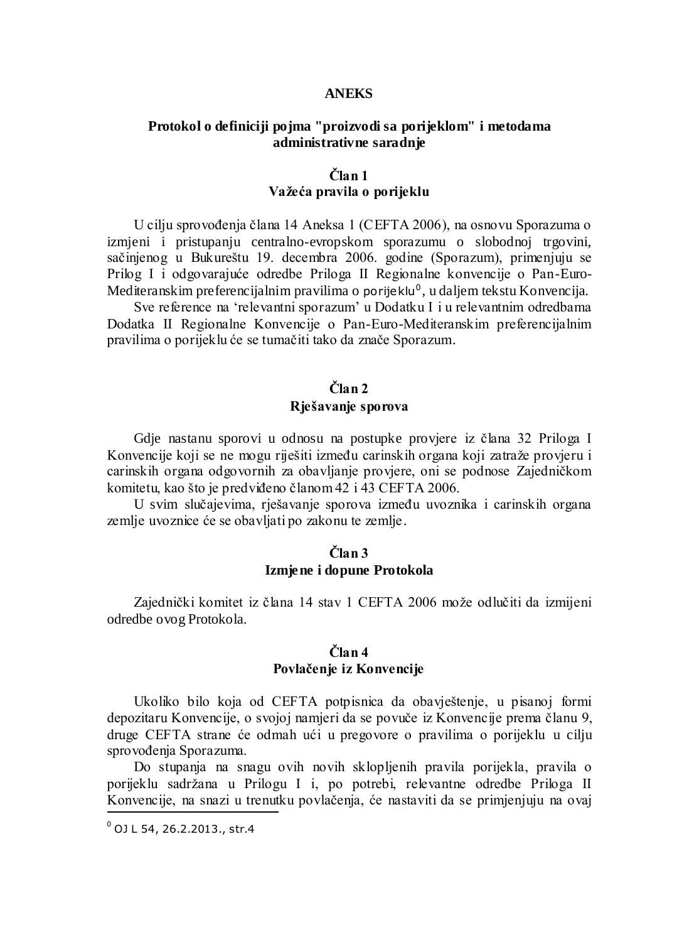## **ANEKS**

## **Protokol o definiciji pojma "proizvodi sa porijeklom" i metodama administrativne saradnje**

# **Član 1 Važeća pravila o porijeklu**

U cilju sprovođenja člana 14 Aneksa 1 (CEFTA 2006), na osnovu Sporazuma o izmjeni i pristupanju centralno-evropskom sporazumu o slobodnoj trgovini, sačinjenog u Bukureštu 19. decembra 2006. godine (Sporazum), primenjuju se Prilog I i odgovarajuće odredbe Priloga II Regionalne konvencije o Pan-Euro-Mediteranskim preferencijalnim pravilima o porijeklu $^0$ , u daljem tekstu Konvencija.

Sve reference na 'relevantni sporazum' u Dodatku I i u relevantnim odredbama Dodatka II Regionalne Konvencije o Pan-Euro-Mediteranskim preferencijalnim pravilima o porijeklu će se tumačiti tako da znače Sporazum.

# **Član 2 Rješavanje sporova**

Gdje nastanu sporovi u odnosu na postupke provjere iz člana 32 Priloga I Konvencije koji se ne mogu riješiti između carinskih organa koji zatraže provjeru i carinskih organa odgovornih za obavljanje provjere, oni se podnose Zajedničkom komitetu, kao što je predviđeno članom 42 i 43 CEFTA 2006.

U svim slučajevima, rješavanje sporova između uvoznika i carinskih organa zemlje uvoznice će se obavljati po zakonu te zemlje.

# **Član 3 Izmjene i dopune Protokola**

Zajednički komitet iz člana 14 stav 1 CEFTA 2006 može odlučiti da izmijeni odredbe ovog Protokola.

# **Član 4 Povlačenje iz Konvencije**

Ukoliko bilo koja od CEFTA potpisnica da obavještenje, u pisanoj formi depozitaru Konvencije, o svojoj namjeri da se povuče iz Konvencije prema članu 9, druge CEFTA strane će odmah ući u pregovore o pravilima o porijeklu u cilju sprovođenja Sporazuma.

Do stupanja na snagu ovih novih sklopljenih pravila porijekla, pravila o porijeklu sadržana u Prilogu I i, po potrebi, relevantne odredbe Priloga II Konvencije, na snazi u trenutku povlačenja, će nastaviti da se primjenjuju na ovaj

 $\overline{a}$ 

 $^{0}$  OJ L 54, 26.2.2013., str.4